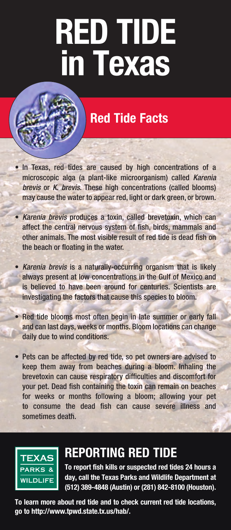# **RED TIDE in Texas**

## **Red Tide Facts**

- In Texas, red tides are caused by high concentrations of a microscopic alga (a plant-like microorganism) called *Karenia brevis* or *K. brevis*. These high concentrations (called blooms) may cause the water to appear red, light or dark green, or brown.
- • *Karenia brevis* produces a toxin, called brevetoxin, which can affect the central nervous system of fish, birds, mammals and other animals. The most visible result of red tide is dead fish on the beach or floating in the water.
- • *Karenia brevis* is a naturally-occurring organism that is likely always present at low concentrations in the Gulf of Mexico and is believed to have been around for centuries. Scientists are investigating the factors that cause this species to bloom.
- Red tide blooms most often begin in late summer or early fall and can last days, weeks or months. Bloom locations can change daily due to wind conditions.
- Pets can be affected by red tide, so pet owners are advised to keep them away from beaches during a bloom. Inhaling the brevetoxin can cause respiratory difficulties and discomfort for your pet. Dead fish containing the toxin can remain on beaches for weeks or months following a bloom; allowing your pet to consume the dead fish can cause severe illness and sometimes death.



## **Reporting Red Tide**

**To report fish kills or suspected red tides 24 hours a day, call the Texas Parks and Wildlife Department at (512) 389-4848 (Austin) or (281) 842-8100 (Houston).** 

**To learn more about red tide and to check current red tide locations, go to http://www.tpwd.state.tx.us/hab/.**